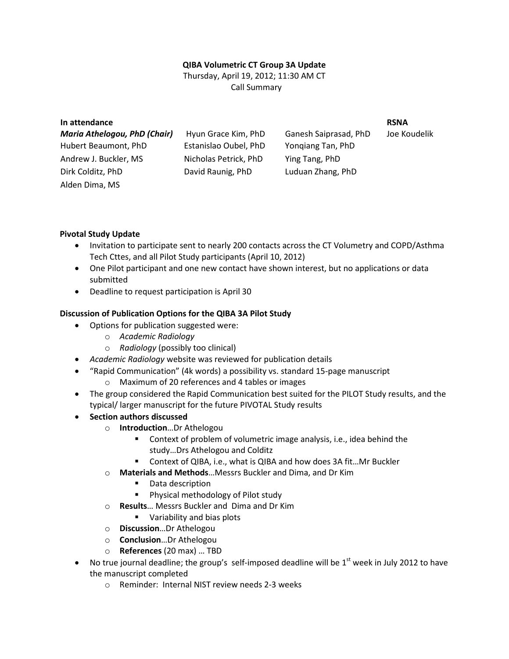## **QIBA Volumetric CT Group 3A Update**

Thursday, April 19, 2012; 11:30 AM CT Call Summary

| In attendance                       |                       |                       | <b>RSNA</b>  |
|-------------------------------------|-----------------------|-----------------------|--------------|
| <b>Maria Athelogou, PhD (Chair)</b> | Hyun Grace Kim, PhD   | Ganesh Saiprasad, PhD | Joe Koudelik |
| Hubert Beaumont, PhD                | Estanislao Oubel, PhD | Yongiang Tan, PhD     |              |
| Andrew J. Buckler, MS               | Nicholas Petrick, PhD | Ying Tang, PhD        |              |
| Dirk Colditz, PhD                   | David Raunig, PhD     | Luduan Zhang, PhD     |              |
| Alden Dima, MS                      |                       |                       |              |

#### **Pivotal Study Update**

- Invitation to participate sent to nearly 200 contacts across the CT Volumetry and COPD/Asthma Tech Cttes, and all Pilot Study participants (April 10, 2012)
- One Pilot participant and one new contact have shown interest, but no applications or data submitted
- Deadline to request participation is April 30

#### **Discussion of Publication Options for the QIBA 3A Pilot Study**

- Options for publication suggested were:
	- o *Academic Radiology*
	- o *Radiology* (possibly too clinical)
- *Academic Radiology* website was reviewed for publication details
- "Rapid Communication" (4k words) a possibility vs. standard 15-page manuscript o Maximum of 20 references and 4 tables or images
	-
- The group considered the Rapid Communication best suited for the PILOT Study results, and the typical/ larger manuscript for the future PIVOTAL Study results
- **Section authors discussed** 
	- o **Introduction**…Dr Athelogou
		- Context of problem of volumetric image analysis, i.e., idea behind the study…Drs Athelogou and Colditz
		- Context of QIBA, i.e., what is QIBA and how does 3A fit...Mr Buckler
	- o **Materials and Methods**…Messrs Buckler and Dima, and Dr Kim
		- **•** Data description
		- **Physical methodology of Pilot study**
	- o **Results**… Messrs Buckler and Dima and Dr Kim
		- **Variability and bias plots**
	- o **Discussion**…Dr Athelogou
	- o **Conclusion**…Dr Athelogou
	- o **References** (20 max) … TBD
- No true journal deadline; the group's self-imposed deadline will be  $1<sup>st</sup>$  week in July 2012 to have the manuscript completed
	- o Reminder: Internal NIST review needs 2-3 weeks